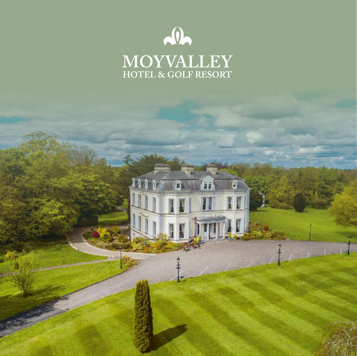

11

**Trunk!**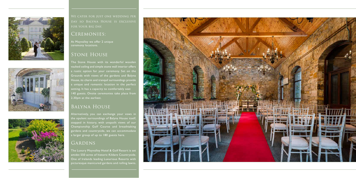





day so Balyna House is exclusive for your big day.

## CEREMONIES:

At Moyvalley we offer 2 unique ceremony locations.

## Stone House

The Stone House with its wonderful wooden vaulted ceiling and simple stone wall interior offers a rustic option for your ceremony. Set on the Grounds with views of the gardens and Balyna House, its charm and tranquil surroundings provide a unique and romantic location in the perfect setting. It has a capacity to comfortably seat 140 guests. Onsite ceremonies take place from 2.30pm at the earliest.

## Balyna House

Alternatively, you can exchange your vows in the opulent surroundings of Balyna House itself, stepped in history, with unspoilt views of our Championship Golf Course and breathtaking gardens and countryside, we can accommodate a larger group of up to 180 guests here.

## GARDENS

The Luxury Moyvalley Hotel & Golf Resort is set amidst 550 acres of historic Kildare Countryside. One of Irelands leading Luxurious Resorts with picturesque manicured gardens and rolling lawns.

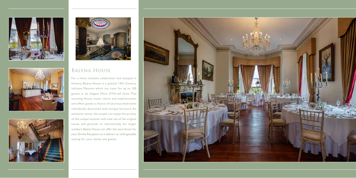







## Balyna House

For a more intimate celebration and steeped in History, Balyna House is a palatial 19th Century Italinate Mansion which can cater for up to 100 guests in its elegant More O'Farrell Suite. This stunning House oozes charm and sophistication and offers guests a choice of luxurious bedrooms individually decorated with antique furniture. An exclusive venue, the couple can enjoy the privacy of this unique location with sole use of the original house and grounds or alternatively, for larger numbers Balyna House can offer the wow factor for your Drinks Reception as it delivers an unforgettable setting for your family and guests.

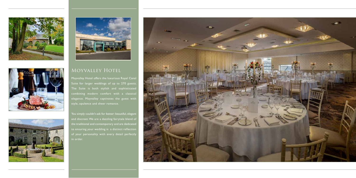







# MOYVALLEY HOTEL

Moyvalley Hotel offers the luxurious Royal Canal Suite for larger weddings of up to 270 guests. The Suite is both stylish and sophisticated combining modern comfort with a classical elegance. Moyvalley captivates the guest with style, opulence and sheer romance.

You simply couldn't ask for better: beautiful, elegant and discreet. We are a dazzling fairytale blend of the traditional and contemporary and are dedicated to ensuring your wedding is a distinct reflection of your personality with every detail perfectly in order.

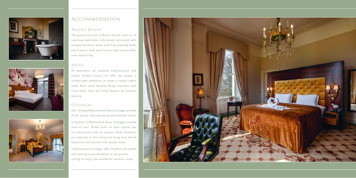





## Accommodation

#### Balyna House

The grand staircase in Balyna House leads to 10 luxurious bedrooms individually decorated with antique furniture, some with free standing baths and 4 poster beds each one an ideal retreat after your special day.

#### HOTEL

54 bedrooms, all combine sophistication and simple modern luxury to offer our guests a comfortable ambience to enjoy a restful nights sleep. Each room features Respa mattress with crisp white linen and many feature an outdoor balcony,

### COTTAGES

Our 10 beautifully restored Stone Cottages provide 4 star luxury self-catering accommodation onsite.

5 Superior 2 Bedroomed Stone Cottages suitable even as your Bridal Suite on your special day are decorated with an antique finish. Kitchens are separate to the sitting and living area and all bedrooms are ensuite with jacuzzi baths.

2 Bedroomed Cottages offer modern and stylish self catering accommodation in the perfect setting to enjoy the wonderful outdoor areas.

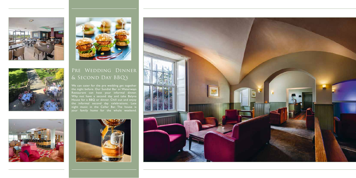





# Pre Wedding Dinner & Second Day BBQ's

We can cater for the pre wedding get together the night before. Our Sundial Bar or Waterways Restaurant can host your informal dinner. Why not have a second day and take Balyna House for a BBQ or dinner. Chill out and enjoy the informal second day celebrations. Late night music in the Cellar Bar. The house is your family home for the whole weekend.